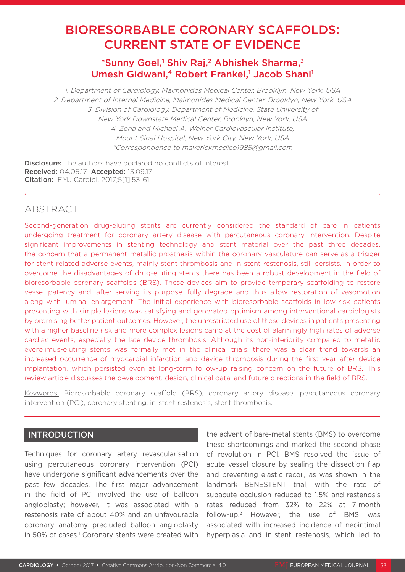# BIORESORBABLE CORONARY SCAFFOLDS: CURRENT STATE OF EVIDENCE

## \*Sunny Goel,<sup>1</sup> Shiv Raj,<sup>2</sup> Abhishek Sharma,<sup>3</sup> Umesh Gidwani,<sup>4</sup> Robert Frankel,<sup>1</sup> Jacob Shani<sup>1</sup>

1. Department of Cardiology, Maimonides Medical Center, Brooklyn, New York, USA 2. Department of Internal Medicine, Maimonides Medical Center, Brooklyn, New York, USA 3. Division of Cardiology, Department of Medicine, State University of New York Downstate Medical Center, Brooklyn, New York, USA 4. Zena and Michael A. Weiner Cardiovascular Institute, Mount Sinai Hospital, New York City, New York, USA \*Correspondence to maverickmedico1985@gmail.com

**Disclosure:** The authors have declared no conflicts of interest. Received: 04.05.17 Accepted: 13.09.17 Citation: EMJ Cardiol. 2017;5[1]:53-61.

## ABSTRACT

Second-generation drug-eluting stents are currently considered the standard of care in patients undergoing treatment for coronary artery disease with percutaneous coronary intervention. Despite significant improvements in stenting technology and stent material over the past three decades, the concern that a permanent metallic prosthesis within the coronary vasculature can serve as a trigger for stent-related adverse events, mainly stent thrombosis and in-stent restenosis, still persists. In order to overcome the disadvantages of drug-eluting stents there has been a robust development in the field of bioresorbable coronary scaffolds (BRS). These devices aim to provide temporary scaffolding to restore vessel patency and, after serving its purpose, fully degrade and thus allow restoration of vasomotion along with luminal enlargement. The initial experience with bioresorbable scaffolds in low-risk patients presenting with simple lesions was satisfying and generated optimism among interventional cardiologists by promising better patient outcomes. However, the unrestricted use of these devices in patients presenting with a higher baseline risk and more complex lesions came at the cost of alarmingly high rates of adverse cardiac events, especially the late device thrombosis. Although its non-inferiority compared to metallic everolimus-eluting stents was formally met in the clinical trials, there was a clear trend towards an increased occurrence of myocardial infarction and device thrombosis during the first year after device implantation, which persisted even at long-term follow-up raising concern on the future of BRS. This review article discusses the development, design, clinical data, and future directions in the field of BRS.

Keywords: Bioresorbable coronary scaffold (BRS), coronary artery disease, percutaneous coronary intervention (PCI), coronary stenting, in-stent restenosis, stent thrombosis.

### INTRODUCTION

Techniques for coronary artery revascularisation using percutaneous coronary intervention (PCI) have undergone significant advancements over the past few decades. The first major advancement in the field of PCI involved the use of balloon angioplasty; however, it was associated with a restenosis rate of about 40% and an unfavourable coronary anatomy precluded balloon angioplasty in 50% of cases.<sup>1</sup> Coronary stents were created with the advent of bare-metal stents (BMS) to overcome these shortcomings and marked the second phase of revolution in PCI. BMS resolved the issue of acute vessel closure by sealing the dissection flap and preventing elastic recoil, as was shown in the landmark BENESTENT trial, with the rate of subacute occlusion reduced to 1.5% and restenosis rates reduced from 32% to 22% at 7-month follow-up.2 However, the use of BMS was associated with increased incidence of neointimal hyperplasia and in-stent restenosis, which led to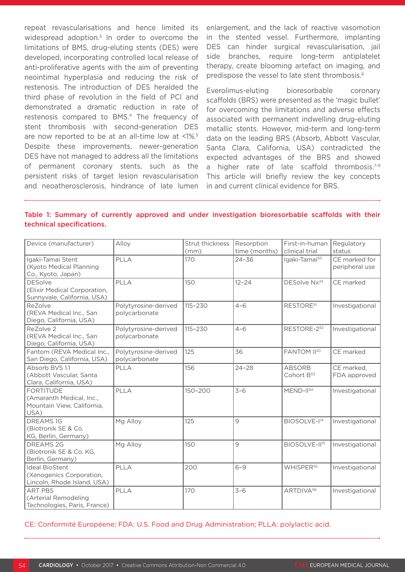repeat revascularisations and hence limited its widespread adoption.<sup>3</sup> In order to overcome the limitations of BMS, drug-eluting stents (DES) were developed, incorporating controlled local release of anti-proliferative agents with the aim of preventing neointimal hyperplasia and reducing the risk of restenosis. The introduction of DES heralded the third phase of revolution in the field of PCI and demonstrated a dramatic reduction in rate of restenosis compared to BMS.4 The frequency of stent thrombosis with second-generation DES are now reported to be at an all-time low at <1%.5 Despite these improvements, newer-generation DES have not managed to address all the limitations of permanent coronary stents, such as the persistent risks of target lesion revascularisation and neoatherosclerosis, hindrance of late lumen enlargement, and the lack of reactive vasomotion in the stented vessel. Furthermore, implanting DES can hinder surgical revascularisation, jail side branches, require long-term antiplatelet therapy, create blooming artefact on imaging, and predispose the vessel to late stent thrombosis.<sup>6</sup>

Everolimus-eluting bioresorbable coronary scaffolds (BRS) were presented as the 'magic bullet' for overcoming the limitations and adverse effects associated with permanent indwelling drug-eluting metallic stents. However, mid-term and long-term data on the leading BRS (Absorb, Abbott Vascular, Santa Clara, California, USA) contradicted the expected advantages of the BRS and showed a higher rate of late scaffold thrombosis.<sup>7-9</sup> This article will briefly review the key concepts in and current clinical evidence for BRS.

|                           |  |  |  | Table 1: Summary of currently approved and under investigation bioresorbable scaffolds with their |  |  |
|---------------------------|--|--|--|---------------------------------------------------------------------------------------------------|--|--|
| technical specifications. |  |  |  |                                                                                                   |  |  |

| Device (manufacturer)                                                              | Alloy                                 | Strut thickness<br>(mm) | Resorption<br>time (months) | First-in-human<br>clinical trial        | Regulatory<br>status            |
|------------------------------------------------------------------------------------|---------------------------------------|-------------------------|-----------------------------|-----------------------------------------|---------------------------------|
| Igaki-Tamai Stent<br>(Kyoto Medical Planning<br>Co., Kyoto, Japan)                 | PLLA                                  | 170                     | $24 - 36$                   | Igaki-Tamai50                           | CE marked for<br>peripheral use |
| <b>DESolve</b><br>(Elixir Medical Corporation,<br>Sunnyvale, California, USA)      | PLLA                                  | 150                     | $12 - 24$                   | DESolve Nx <sup>24</sup>                | CE marked                       |
| ReZolve<br>(REVA Medical Inc., San<br>Diego, California, USA)                      | Polytyrosine-derived<br>polycarbonate | $115 - 230$             | $4 - 6$                     | RESTORE <sup>51</sup>                   | Investigational                 |
| ReZolve 2<br>(REVA Medical Inc., San<br>Diego, California, USA)                    | Polytyrosine-derived<br>polycarbonate | $115 - 230$             | $4 - 6$                     | RESTORE-252                             | Investigational                 |
| Fantom (REVA Medical Inc.,<br>San Diego, California, USA)                          | Polytyrosine-derived<br>polycarbonate | 125                     | 36                          | FANTOM II <sup>20</sup>                 | CE marked                       |
| Absorb BVS 1.1<br>(Abbott Vascular, Santa<br>Clara, California, USA)               | PLLA                                  | 156                     | $24 - 28$                   | <b>ABSORB</b><br>Cohort B <sup>53</sup> | CE marked,<br>FDA approved      |
| <b>FORTITUDE</b><br>(Amaranth Medical, Inc.,<br>Mountain View, California,<br>USA) | PLLA                                  | $150 - 200$             | $3 - 6$                     | MEND-II54                               | Investigational                 |
| <b>DREAMS1G</b><br>(Biotronik SE & Co.<br>KG, Berlin, Germany)                     | Mg Alloy                              | 125                     | 9                           | BIOSOLVE-I <sup>14</sup>                | Investigational                 |
| <b>DREAMS 2G</b><br>(Biotronik SE & Co. KG,<br>Berlin, Germany)                    | Mg Alloy                              | 150                     | $\overline{9}$              | BIOSOLVE-II <sup>15</sup>               | Investigational                 |
| <b>Ideal BioStent</b><br>(Xenogenics Corporation,<br>Lincoln, Rhode Island, USA)   | PLLA                                  | 200                     | $6 - 9$                     | WHISPER <sup>55</sup>                   | Investigational                 |
| <b>ART PBS</b><br>(Arterial Remodeling<br>Technologies, Paris, France)             | PLLA                                  | 170                     | $3 - 6$                     | ARTDIVA <sup>56</sup>                   | Investigational                 |

CE: Conformité Européene; FDA: U.S. Food and Drug Administration; PLLA: polylactic acid.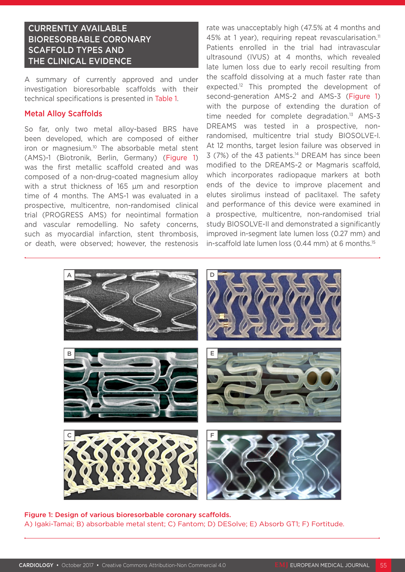## CURRENTLY AVAILABLE BIORESORBABLE CORONARY SCAFFOLD TYPES AND THE CLINICAL EVIDENCE

A summary of currently approved and under investigation bioresorbable scaffolds with their technical specifications is presented in Table 1.

#### Metal Alloy Scaffolds

So far, only two metal alloy-based BRS have been developed, which are composed of either iron or magnesium.10 The absorbable metal stent (AMS)-1 (Biotronik, Berlin, Germany) (Figure 1) was the first metallic scaffold created and was composed of a non-drug-coated magnesium alloy with a strut thickness of 165 um and resorption time of 4 months. The AMS-1 was evaluated in a prospective, multicentre, non-randomised clinical trial (PROGRESS AMS) for neointimal formation and vascular remodelling. No safety concerns, such as myocardial infarction, stent thrombosis, or death, were observed; however, the restenosis

rate was unacceptably high (47.5% at 4 months and 45% at 1 year), requiring repeat revascularisation.<sup>11</sup> Patients enrolled in the trial had intravascular ultrasound (IVUS) at 4 months, which revealed late lumen loss due to early recoil resulting from the scaffold dissolving at a much faster rate than expected.<sup>12</sup> This prompted the development of second-generation AMS-2 and AMS-3 (Figure 1) with the purpose of extending the duration of time needed for complete degradation.<sup>13</sup> AMS-3 DREAMS was tested in a prospective, nonrandomised, multicentre trial study BIOSOLVE-I. At 12 months, target lesion failure was observed in  $3$  (7%) of the 43 patients.<sup>14</sup> DREAM has since been modified to the DREAMS-2 or Magmaris scaffold, which incorporates radiopaque markers at both ends of the device to improve placement and elutes sirolimus instead of paclitaxel. The safety and performance of this device were examined in a prospective, multicentre, non-randomised trial study BIOSOLVE-II and demonstrated a significantly improved in-segment late lumen loss (0.27 mm) and in-scaffold late lumen loss (0.44 mm) at 6 months.<sup>15</sup>



Figure 1: Design of various bioresorbable coronary scaffolds. A) Igaki-Tamai; B) absorbable metal stent; C) Fantom; D) DESolve; E) Absorb GT1; F) Fortitude.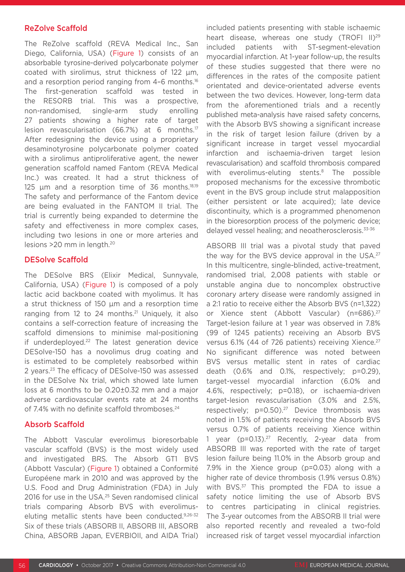#### ReZolve Scaffold

The ReZolve scaffold (REVA Medical Inc., San Diego, California, USA) (Figure 1) consists of an absorbable tyrosine-derived polycarbonate polymer coated with sirolimus, strut thickness of 122 µm, and a resorption period ranging from 4-6 months.<sup>16</sup> The first-generation scaffold was tested in the RESORB trial. This was a prospective, non-randomised, single-arm study enrolling 27 patients showing a higher rate of target lesion revascularisation (66.7%) at 6 months.17 After redesigning the device using a proprietary desaminotyrosine polycarbonate polymer coated with a sirolimus antiproliferative agent, the newer generation scaffold named Fantom (REVA Medical Inc.) was created. It had a strut thickness of 125  $\mu$ m and a resorption time of 36 months.<sup>18,19</sup> The safety and performance of the Fantom device are being evaluated in the FANTOM II trial. The trial is currently being expanded to determine the safety and effectiveness in more complex cases, including two lesions in one or more arteries and lesions >20 mm in length.20

#### DESolve Scaffold

The DESolve BRS (Elixir Medical, Sunnyvale, California, USA) (Figure 1) is composed of a poly lactic acid backbone coated with myolimus. It has a strut thickness of 150 µm and a resorption time ranging from 12 to 24 months.<sup>21</sup> Uniquely, it also contains a self-correction feature of increasing the scaffold dimensions to minimise mal-positioning if underdeployed.<sup>22</sup> The latest generation device DESolve-150 has a novolimus drug coating and is estimated to be completely reabsorbed within 2 years.23 The efficacy of DESolve-150 was assessed in the DESolve Nx trial, which showed late lumen loss at 6 months to be 0.20±0.32 mm and a major adverse cardiovascular events rate at 24 months of 7.4% with no definite scaffold thromboses.<sup>24</sup>

### Absorb Scaffold

The Abbott Vascular everolimus bioresorbable vascular scaffold (BVS) is the most widely used and investigated BRS. The Absorb GT1 BVS (Abbott Vascular) (Figure 1) obtained a Conformité Européene mark in 2010 and was approved by the U.S. Food and Drug Administration (FDA) in July 2016 for use in the USA.<sup>25</sup> Seven randomised clinical trials comparing Absorb BVS with everolimuseluting metallic stents have been conducted.9,26-32 Six of these trials (ABSORB II, ABSORB III, ABSORB China, ABSORB Japan, EVERBIOII, and AIDA Trial) included patients presenting with stable ischaemic heart disease, whereas one study (TROFI II)<sup>29</sup> included patients with ST-segment-elevation myocardial infarction. At 1-year follow-up, the results of these studies suggested that there were no differences in the rates of the composite patient orientated and device-orientated adverse events between the two devices. However, long-term data from the aforementioned trials and a recently published meta-analysis have raised safety concerns, with the Absorb BVS showing a significant increase in the risk of target lesion failure (driven by a significant increase in target vessel myocardial infarction and ischaemia-driven target lesion revascularisation) and scaffold thrombosis compared with everolimus-eluting stents.<sup>8</sup> The possible proposed mechanisms for the excessive thrombotic event in the BVS group include strut malapposition (either persistent or late acquired); late device discontinuity, which is a programmed phenomenon in the bioresorption process of the polymeric device; delayed vessel healing; and neoatherosclerosis.33-36

ABSORB III trial was a pivotal study that paved the way for the BVS device approval in the USA.<sup>27</sup> In this multicentre, single-blinded, active-treatment, randomised trial, 2,008 patients with stable or unstable angina due to noncomplex obstructive coronary artery disease were randomly assigned in a 2:1 ratio to receive either the Absorb BVS (n=1,322) or Xience stent (Abbott Vascular) (n=686).<sup>27</sup> Target-lesion failure at 1 year was observed in 7.8% (99 of 1245 patients) receiving an Absorb BVS versus 6.1% (44 of 726 patients) receiving Xience.<sup>27</sup> No significant difference was noted between BVS versus metallic stent in rates of cardiac death (0.6% and 0.1%, respectively; p=0.29), target-vessel myocardial infarction (6.0% and 4.6%, respectively; p=0.18), or ischaemia-driven target-lesion revascularisation (3.0% and 2.5%, respectively;  $p=0.50$ ).<sup>27</sup> Device thrombosis was noted in 1.5% of patients receiving the Absorb BVS versus 0.7% of patients receiving Xience within 1 year (p=0.13).27 Recently, 2-year data from ABSORB III was reported with the rate of target lesion failure being 11.0% in the Absorb group and 7.9% in the Xience group (p=0.03) along with a higher rate of device thrombosis (1.9% versus 0.8%) with BVS.<sup>37</sup> This prompted the FDA to issue a safety notice limiting the use of Absorb BVS to centres participating in clinical registries. The 3-year outcomes from the ABSORB II trial were also reported recently and revealed a two-fold increased risk of target vessel myocardial infarction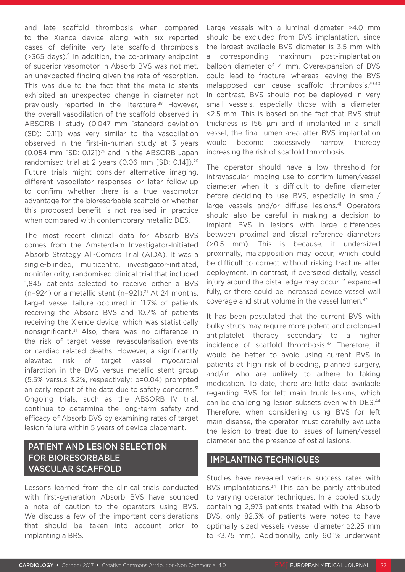and late scaffold thrombosis when compared to the Xience device along with six reported cases of definite very late scaffold thrombosis  $($ >365 days). $9$  In addition, the co-primary endpoint of superior vasomotor in Absorb BVS was not met, an unexpected finding given the rate of resorption. This was due to the fact that the metallic stents exhibited an unexpected change in diameter not previously reported in the literature.<sup>38</sup> However, the overall vasodilation of the scaffold observed in ABSORB II study (0.047 mm [standard deviation (SD): 0.11]) was very similar to the vasodilation observed in the first-in-human study at 3 years (0.054 mm [SD: 0.12])25 and in the ABSORB Japan randomised trial at 2 years (0.06 mm [SD: 0.141).<sup>26</sup> Future trials might consider alternative imaging, different vasodilator responses, or later follow-up to confirm whether there is a true vasomotor advantage for the bioresorbable scaffold or whether this proposed benefit is not realised in practice when compared with contemporary metallic DES.

The most recent clinical data for Absorb BVS comes from the Amsterdam Investigator-Initiated Absorb Strategy All-Comers Trial (AIDA). It was a single-blinded, multicentre, investigator-initiated, noninferiority, randomised clinical trial that included 1,845 patients selected to receive either a BVS ( $n=924$ ) or a metallic stent ( $n=921$ ).<sup>31</sup> At 24 months, target vessel failure occurred in 11.7% of patients receiving the Absorb BVS and 10.7% of patients receiving the Xience device, which was statistically nonsignificant.31 Also, there was no difference in the risk of target vessel revascularisation events or cardiac related deaths. However, a significantly elevated risk of target vessel myocardial infarction in the BVS versus metallic stent group (5.5% versus 3.2%, respectively; p=0.04) prompted an early report of the data due to safety concerns.<sup>31</sup> Ongoing trials, such as the ABSORB IV trial, continue to determine the long-term safety and efficacy of Absorb BVS by examining rates of target lesion failure within 5 years of device placement.

## PATIENT AND LESION SELECTION FOR BIORESORBABLE VASCULAR SCAFFOLD

Lessons learned from the clinical trials conducted with first-generation Absorb BVS have sounded a note of caution to the operators using BVS. We discuss a few of the important considerations that should be taken into account prior to implanting a BRS.

Large vessels with a luminal diameter >4.0 mm should be excluded from BVS implantation, since the largest available BVS diameter is 3.5 mm with a corresponding maximum post-implantation balloon diameter of 4 mm. Overexpansion of BVS could lead to fracture, whereas leaving the BVS malapposed can cause scaffold thrombosis.39,40 In contrast, BVS should not be deployed in very small vessels, especially those with a diameter <2.5 mm. This is based on the fact that BVS strut thickness is 156 µm and if implanted in a small vessel, the final lumen area after BVS implantation would become excessively narrow, thereby increasing the risk of scaffold thrombosis.

The operator should have a low threshold for intravascular imaging use to confirm lumen/vessel diameter when it is difficult to define diameter before deciding to use BVS, especially in small/ large vessels and/or diffuse lesions.<sup>41</sup> Operators should also be careful in making a decision to implant BVS in lesions with large differences between proximal and distal reference diameters (>0.5 mm). This is because, if undersized proximally, malapposition may occur, which could be difficult to correct without risking fracture after deployment. In contrast, if oversized distally, vessel injury around the distal edge may occur if expanded fully, or there could be increased device vessel wall coverage and strut volume in the vessel lumen.<sup>42</sup>

It has been postulated that the current BVS with bulky struts may require more potent and prolonged antiplatelet therapy secondary to a higher incidence of scaffold thrombosis.43 Therefore, it would be better to avoid using current BVS in patients at high risk of bleeding, planned surgery, and/or who are unlikely to adhere to taking medication. To date, there are little data available regarding BVS for left main trunk lesions, which can be challenging lesion subsets even with DES.<sup>44</sup> Therefore, when considering using BVS for left main disease, the operator must carefully evaluate the lesion to treat due to issues of lumen/vessel diameter and the presence of ostial lesions.

### IMPLANTING TECHNIQUES

Studies have revealed various success rates with BVS implantations.<sup>34</sup> This can be partly attributed to varying operator techniques. In a pooled study containing 2,973 patients treated with the Absorb BVS, only 82.3% of patients were noted to have optimally sized vessels (vessel diameter ≥2.25 mm to ≤3.75 mm). Additionally, only 60.1% underwent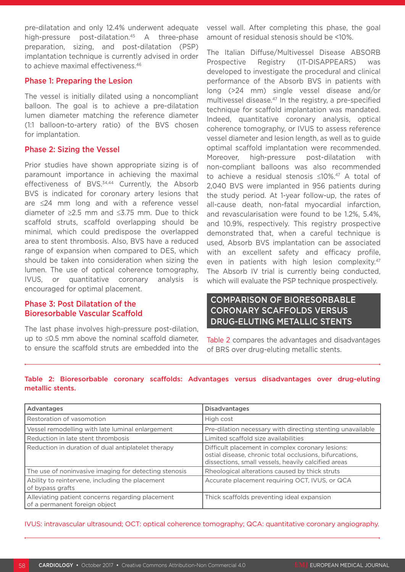pre-dilatation and only 12.4% underwent adequate high-pressure post-dilatation.<sup>45</sup> A three-phase preparation, sizing, and post-dilatation (PSP) implantation technique is currently advised in order to achieve maximal effectiveness.46

#### Phase 1: Preparing the Lesion

The vessel is initially dilated using a noncompliant balloon. The goal is to achieve a pre-dilatation lumen diameter matching the reference diameter (1:1 balloon-to-artery ratio) of the BVS chosen for implantation.

#### Phase 2: Sizing the Vessel

Prior studies have shown appropriate sizing is of paramount importance in achieving the maximal effectiveness of BVS.<sup>34,44</sup> Currently, the Absorb BVS is indicated for coronary artery lesions that are ≤24 mm long and with a reference vessel diameter of ≥2.5 mm and ≤3.75 mm. Due to thick scaffold struts, scaffold overlapping should be minimal, which could predispose the overlapped area to stent thrombosis. Also, BVS have a reduced range of expansion when compared to DES, which should be taken into consideration when sizing the lumen. The use of optical coherence tomography, IVUS, or quantitative coronary analysis is encouraged for optimal placement.

### Phase 3: Post Dilatation of the Bioresorbable Vascular Scaffold

The last phase involves high-pressure post-dilation, up to ≤0.5 mm above the nominal scaffold diameter, to ensure the scaffold struts are embedded into the vessel wall. After completing this phase, the goal amount of residual stenosis should be <10%.

The Italian Diffuse/Multivessel Disease ABSORB Prospective Registry (IT-DISAPPEARS) was developed to investigate the procedural and clinical performance of the Absorb BVS in patients with long (>24 mm) single vessel disease and/or multivessel disease.<sup>47</sup> In the registry, a pre-specified technique for scaffold implantation was mandated. Indeed, quantitative coronary analysis, optical coherence tomography, or IVUS to assess reference vessel diameter and lesion length, as well as to guide optimal scaffold implantation were recommended. Moreover, high-pressure post-dilatation with non-compliant balloons was also recommended to achieve a residual stenosis ≤10%.47 A total of 2,040 BVS were implanted in 956 patients during the study period. At 1-year follow-up, the rates of all-cause death, non-fatal myocardial infarction, and revascularisation were found to be 1.2%, 5.4%, and 10.9%, respectively. This registry prospective demonstrated that, when a careful technique is used, Absorb BVS implantation can be associated with an excellent safety and efficacy profile, even in patients with high lesion complexity.<sup>47</sup> The Absorb IV trial is currently being conducted, which will evaluate the PSP technique prospectively.

### COMPARISON OF BIORESORBABLE CORONARY SCAFFOLDS VERSUS DRUG-ELUTING METALLIC STENTS

Table 2 compares the advantages and disadvantages of BRS over drug-eluting metallic stents.

#### Table 2: Bioresorbable coronary scaffolds: Advantages versus disadvantages over drug-eluting metallic stents.

| Advantages                                                                        | <b>Disadvantages</b>                                                                                                                                               |
|-----------------------------------------------------------------------------------|--------------------------------------------------------------------------------------------------------------------------------------------------------------------|
| Restoration of vasomotion                                                         | High cost                                                                                                                                                          |
| Vessel remodelling with late luminal enlargement                                  | Pre-dilation necessary with directing stenting unavailable                                                                                                         |
| Reduction in late stent thrombosis                                                | Limited scaffold size availabilities                                                                                                                               |
| Reduction in duration of dual antiplatelet therapy                                | Difficult placement in complex coronary lesions:<br>ostial disease, chronic total occlusions, bifurcations,<br>dissections, small vessels, heavily calcified areas |
| The use of noninvasive imaging for detecting stenosis                             | Rheological alterations caused by thick struts                                                                                                                     |
| Ability to reintervene, including the placement<br>of bypass grafts               | Accurate placement requiring OCT, IVUS, or QCA                                                                                                                     |
| Alleviating patient concerns regarding placement<br>of a permanent foreign object | Thick scaffolds preventing ideal expansion                                                                                                                         |

IVUS: intravascular ultrasound; OCT: optical coherence tomography; QCA: quantitative coronary angiography.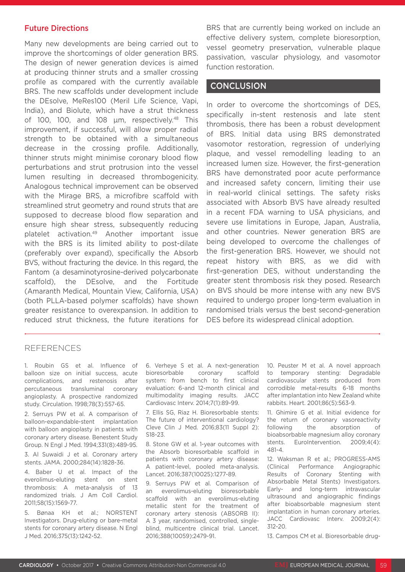#### Future Directions

Many new developments are being carried out to improve the shortcomings of older generation BRS. The design of newer generation devices is aimed at producing thinner struts and a smaller crossing profile as compared with the currently available BRS. The new scaffolds under development include the DEsolve, MeRes100 (Meril Life Science, Vapi, India), and Biolute, which have a strut thickness of 100, 100, and 108 um, respectively.<sup>48</sup> This improvement, if successful, will allow proper radial strength to be obtained with a simultaneous decrease in the crossing profile. Additionally, thinner struts might minimise coronary blood flow perturbations and strut protrusion into the vessel lumen resulting in decreased thrombogenicity. Analogous technical improvement can be observed with the Mirage BRS, a microfibre scaffold with streamlined strut geometry and round struts that are supposed to decrease blood flow separation and ensure high shear stress, subsequently reducing platelet activation.49 Another important issue with the BRS is its limited ability to post-dilate (preferably over expand), specifically the Absorb BVS, without fracturing the device. In this regard, the Fantom (a desaminotyrosine-derived polycarbonate scaffold), the DEsolve, and the Fortitude (Amaranth Medical, Mountain View, California, USA) (both PLLA-based polymer scaffolds) have shown greater resistance to overexpansion. In addition to reduced strut thickness, the future iterations for

BRS that are currently being worked on include an effective delivery system, complete bioresorption, vessel geometry preservation, vulnerable plaque passivation, vascular physiology, and vasomotor function restoration.

### **CONCLUSION**

In order to overcome the shortcomings of DES, specifically in-stent restenosis and late stent thrombosis, there has been a robust development of BRS. Initial data using BRS demonstrated vasomotor restoration, regression of underlying plaque, and vessel remodelling leading to an increased lumen size. However, the first-generation BRS have demonstrated poor acute performance and increased safety concern, limiting their use in real-world clinical settings. The safety risks associated with Absorb BVS have already resulted in a recent FDA warning to USA physicians, and severe use limitations in Europe, Japan, Australia, and other countries. Newer generation BRS are being developed to overcome the challenges of the first-generation BRS. However, we should not repeat history with BRS, as we did with first-generation DES, without understanding the greater stent thrombosis risk they posed. Research on BVS should be more intense with any new BVS required to undergo proper long-term evaluation in randomised trials versus the best second-generation DES before its widespread clinical adoption.

#### REFERENCES

1. Roubin GS et al. Influence of balloon size on initial success, acute complications, and restenosis after percutaneous transluminal coronary angioplasty. A prospective randomized study. Circulation. 1998;78(3):557-65.

2. Serruys PW et al. A comparison of balloon-expandable-stent implantation with balloon angioplasty in patients with coronary artery disease. Benestent Study Group. N Engl J Med. 1994;331(8):489-95.

3. Al Suwaidi J et al. Coronary artery stents. JAMA. 2000;284(14):1828-36.

4. Baber U et al. Impact of the everolimus-eluting stent on stent thrombosis: A meta-analysis of 13 randomized trials. J Am Coll Cardiol. 2011;58(15):1569-77.

5. Bønaa KH et al.; NORSTENT Investigators. Drug-eluting or bare-metal stents for coronary artery disease. N Engl J Med. 2016;375(13):1242-52.

6. Verheye S et al. A next-generation bioresorbable coronary scaffold system: from bench to first clinical evaluation: 6-and 12-month clinical and multimodality imaging results. JACC Cardiovasc Interv. 2014;7(1):89-99.

7. Ellis SG, Riaz H. Bioresorbable stents: The future of interventional cardiology? Cleve Clin J Med. 2016;83(11 Suppl 2): S18-23.

8. Stone GW et al. 1-year outcomes with the Absorb bioresorbable scaffold in patients with coronary artery disease: A patient-level, pooled meta-analysis. Lancet. 2016;387(10025):1277-89.

9. Serruys PW et al. Comparison of an everolimus-eluting bioresorbable scaffold with an everolimus-eluting metallic stent for the treatment of coronary artery stenosis (ABSORB II): A 3 year, randomised, controlled, singleblind, multicentre clinical trial. Lancet. 2016;388(10059):2479-91.

10. Peuster M et al. A novel approach to temporary stenting: Degradable cardiovascular stents produced from corrodible metal-results 6-18 months after implantation into New Zealand white rabbits. Heart. 2001;86(5):563-9.

11. Ghimire G et al. Initial evidence for the return of coronary vasoreactivity following the absorption of bioabsorbable magnesium alloy coronary stents. EuroIntervention. 2009;4(4): 481-4.

12. Waksman R et al.; PROGRESS-AMS (Clinical Performance Angiographic Results of Coronary Stenting with Absorbable Metal Stents) Investigators. Early- and long-term intravascular ultrasound and angiographic findings after bioabsorbable magnesium stent implantation in human coronary arteries. JACC Cardiovasc Interv. 2009;2(4): 312-20.

13. Campos CM et al. Bioresorbable drug-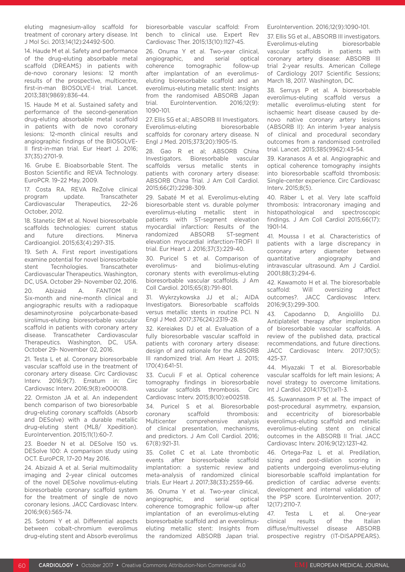eluting magnesium-alloy scaffold for treatment of coronary artery disease. Int J Mol Sci. 2013;14(12):24492-500.

14. Haude M et al. Safety and performance of the drug-eluting absorbable metal scaffold (DREAMS) in patients with de-novo coronary lesions: 12 month results of the prospective, multicentre, first-in-man BIOSOLVE-I trial. Lancet. 2013;381(9869):836-44.

15. Haude M et al. Sustained safety and performance of the second-generation drug-eluting absorbable metal scaffold in patients with de novo coronary lesions: 12-month clinical results and angiographic findings of the BIOSOLVE-II first-in-man trial. Eur Heart J. 2016; 37(35):2701-9.

16. Grube E. Bioabsorbable Stent. The Boston Scientific and REVA Technology. EuroPCR. 19–22 May, 2009.

17. Costa RA. REVA ReZolve clinical program update. Transcatheter Cardiovascular Therapeutics, 22–26 October, 2012.

18. Stanetic BM et al. Novel bioresorbable scaffolds technologies: current status and future directions. Minerva Cardioangiol. 2015;63(4):297-315.

19. Seth A. First report investigations examine potential for novel bioresorbable stent Tecnhologies. Transcatheter Cardiovascular Therapeutics. Washington, DC, USA. October 29- November 02, 2016. 20. Abizaid A. FANTOM II: Six-month and nine-month clinical and angiographic results with a radiopaque desaminotyrosine polycarbonate-based sirolimus-eluting bioresorbable vascular scaffold in patients with coronary artery disease. Transcatheter Cardiovascular Therapeutics. Washington, DC, USA. October 29- November 02, 2016.

21. Testa L et al. Coronary bioresorbable vascular scaffold use in the treatment of coronary artery disease. Circ Cardiovasc Interv. 2016;9(7). Erratum in: Circ Cardiovasc Interv. 2016;9(8):e000018.

22. Ormiston JA et al. An independent bench comparison of two bioresorbable drug-eluting coronary scaffolds (Absorb and DESolve) with a durable metallic drug-eluting stent (ML8/ Xpedition). EuroIntervention. 2015;11(1):60-7.

23. Boeder N et al. DESolve 150 vs. DESolve 100: A comparison study using OCT. EuroPCR, 17–20 May 2016.

24. Abizaid A et al. Serial multimodality imaging and 2-year clinical outcomes of the novel DESolve novolimus-eluting bioresorbable coronary scaffold system for the treatment of single de novo coronary lesions. JACC Cardiovasc Interv. 2016;9(6):565-74.

25. Sotomi Y et al. Differential aspects between cobalt-chromium everolimus drug-eluting stent and Absorb everolimus bioresorbable vascular scaffold: From bench to clinical use. Expert Rev Cardiovasc Ther. 2015;13(10):1127-45.

26. Onuma Y et al. Two-year clinical, angiographic, and serial optical coherence tomographic follow-up after implantation of an everolimuseluting bioresorbable scaffold and an everolimus-eluting metallic stent: Insights from the randomised ABSORB Japan trial. EuroIntervention. 2016;12(9): 1090-101.

27. Ellis SG et al.; ABSORB III Investigators. Everolimus-eluting bioresorbable scaffolds for coronary artery disease. N Engl J Med. 2015;373(20):1905-15.

28. Gao R et al; ABSORB China Investigators. Bioresorbable vascular scaffolds versus metallic stents in patients with coronary artery disease: ABSORB China Trial. J Am Coll Cardiol. 2015;66(21):2298-309.

29. Sabaté M et al. Everolimus-eluting bioresorbable stent vs. durable polymer everolimus-eluting metallic stent in patients with ST-segment elevation myocardial infarction: Results of the randomized ABSORB ST-segment elevation myocardial infarction-TROFI II trial. Eur Heart J. 2016;37(3):229-40.

30. Puricel S et al. Comparison of everolimus- and biolimus-eluting coronary stents with everolimus-eluting bioresorbable vascular scaffolds. J Am Coll Cardiol. 2015;65(8):791-801.

31. Wykrzykowska JJ et al.; AIDA Investigators. Bioresorbable scaffolds versus metallic stents in routine PCI. N Engl J Med. 2017;376(24):2319-28.

32. Kereiakes DJ et al. Evaluation of a fully bioresorbable vascular scaffold in patients with coronary artery disease: design of and rationale for the ABSORB III randomized trial. Am Heart J. 2015; 170(4):641-51.

33. Cuculi F et al. Optical coherence tomography findings in bioresorbable vascular scaffolds thrombosis. Circ Cardiovasc Interv. 2015;8(10):e002518.

34. Puricel S et al. Bioresorbable coronary scaffold thrombosis: Multicenter comprehensive analysis of clinical presentation, mechanisms, and predictors. J Am Coll Cardiol. 2016; 67(8):921-31.

35. Collet C et al. Late thrombotic events after bioresorbable scaffold implantation: a systemic review and meta-analysis of randomized clinical trials. Eur Heart J. 2017;38(33):2559-66.

36. Onuma Y et al. Two-year clinical, angiographic, and serial optical coherence tomographic follow-up after implantation of an everolimus-eluting bioresorbable scaffold and an everolimuseluting metallic stent: Insights from the randomized ABSORB Japan trial. EuroIntervention. 2016;12(9):1090-101.

37. Ellis SG et al., ABSORB III investigators. Everolimus-eluting bioresorbable vascular scaffolds in patients with coronary artery disease: ABSORB III trial 2-year results. American College of Cardiology 2017 Scientific Sessions; March 18, 2017. Washington, DC.

38. Serruys P et al. A bioresorbable everolimus-eluting scaffold versus a metallic everolimus-eluting stent for ischaemic heart disease caused by denovo native coronary artery lesions (ABSORB II): An interim 1-year analysis of clinical and procedural secondary outcomes from a randomised controlled trial. Lancet. 2015;385(9962):43-54.

39. Karanasos A et al. Angiographic and optical coherence tomography insights into bioresorbable scaffold thrombosis: Single-center experience. Circ Cardiovasc Interv. 2015;8(5).

40. Räber L et al. Very late scaffold thrombosis: Intracoronary imaging and histopathological and spectroscopic findings. J Am Coll Cardiol 2015;66(17): 1901-14.

41. Moussa I et al. Characteristics of patients with a large discrepancy in coronary artery diameter between quantitative angiography and intravascular ultrasound. Am J Cardiol. 2001;88(3):294-6.

42. Kawamoto H et al. The bioresorbable scaffold: Will oversizing affect outcomes?. JACC Cardiovasc Interv. 2016;9(3):299-300.

43. Capodanno D, Angiolillo DJ. Antiplatelet therapy after implantation of bioresorbable vascular scaffolds. A review of the published data, practical recommendations, and future directions. JACC Cardiovasc Interv. 2017;10(5): 425-37.

44. Miyazaki T et al. Bioresorbable vascular scaffolds for left main lesions; A novel strategy to overcome limitations. Int J Cardiol. 2014;175(1):e11-3.

45. Suwannasom P et al. The impact of post-procedural asymmetry, expansion, and eccentricity of bioresorbable everolimus-eluting scaffold and metallic everolimus-eluting stent on clinical outcomes in the ABSORB II Trial. JACC Cardiovasc Interv. 2016;9(12):1231-42.

46. Ortega-Paz L et al. Predilation, sizing and post-dilation scoring in patients undergoing everolimus-eluting bioresorbable scaffold implantation for prediction of cardiac adverse events: development and internal validation of the PSP score. EuroIntervention. 2017; 12(17):2110-7.

47. Testa L et al. One-year clinical results of the Italian diffuse/multivessel disease ABSORB prospective registry (IT-DISAPPEARS).